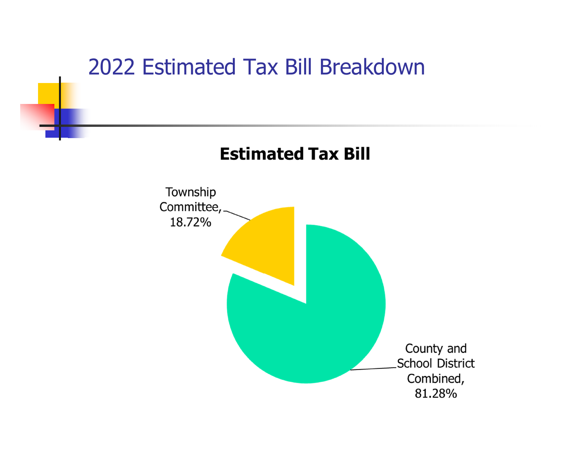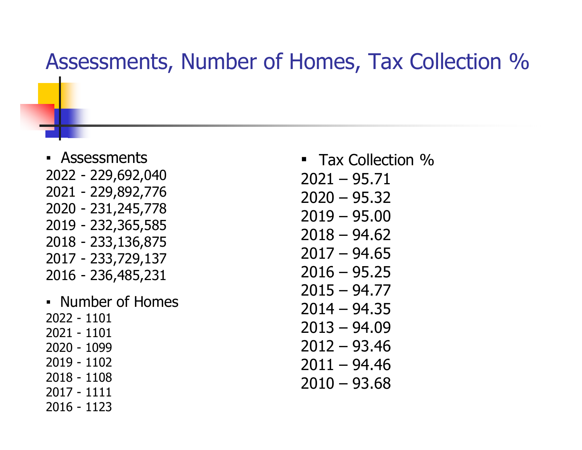#### Assessments, Number of Homes, Tax Collection %

- Assessments 2022 - 229,692,040 2021 - 229,892,776 2020 - 231,245,778 2019 - 232,365,585 2018 - 233,136,875 2017 - 233,729,137 2016 - 236,485,231
- Number of Homes 2022 - 1101 2021 - 1101 2020 - 1099 2019 - 1102 2018 - 1108 2017 - 1111 2016 - 1123
- **Tax Collection %**
- $2021 95.71$
- $2020 95.32$
- 2019 95.00
- 2018 94.62
- $2017 94.65$
- $2016 95.25$
- 2015 94.77
- 2014 94.35 2013 – 94.09
- 2012 93.46
- $2011 94.46$
- $2010 93.68$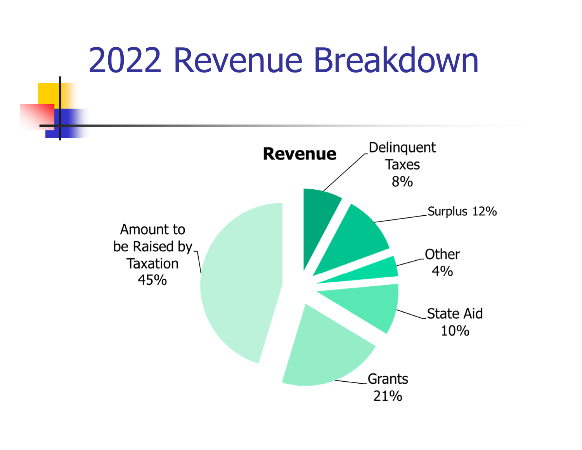## 2022 Revenue Breakdown

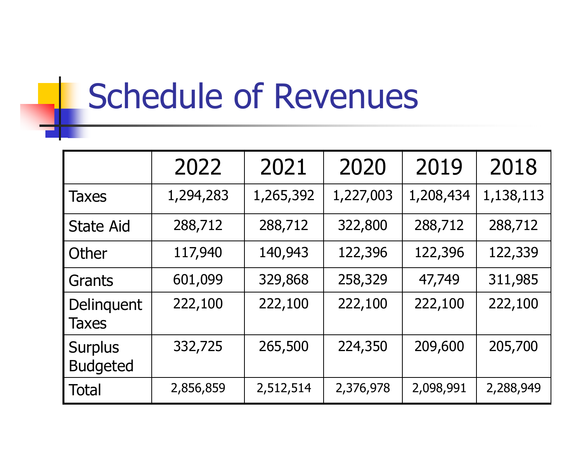# Schedule of Revenues

|                                   | 2022      | 2021      | 2020      | 2019      | 2018      |
|-----------------------------------|-----------|-----------|-----------|-----------|-----------|
| <b>Taxes</b>                      | 1,294,283 | 1,265,392 | 1,227,003 | 1,208,434 | 1,138,113 |
| <b>State Aid</b>                  | 288,712   | 288,712   | 322,800   | 288,712   | 288,712   |
| Other                             | 117,940   | 140,943   | 122,396   | 122,396   | 122,339   |
| Grants                            | 601,099   | 329,868   | 258,329   | 47,749    | 311,985   |
| Delinquent<br><b>Taxes</b>        | 222,100   | 222,100   | 222,100   | 222,100   | 222,100   |
| <b>Surplus</b><br><b>Budgeted</b> | 332,725   | 265,500   | 224,350   | 209,600   | 205,700   |
| <b>Total</b>                      | 2,856,859 | 2,512,514 | 2,376,978 | 2,098,991 | 2,288,949 |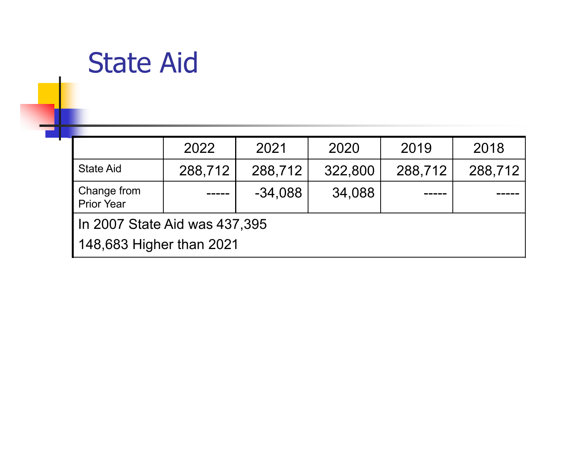#### State Aid

|                                  | 2022    | 2021      | 2020    | 2019    | 2018    |  |  |
|----------------------------------|---------|-----------|---------|---------|---------|--|--|
| <b>State Aid</b>                 | 288,712 | 288,712   | 322,800 | 288,712 | 288,712 |  |  |
| Change from<br><b>Prior Year</b> |         | $-34,088$ | 34,088  |         |         |  |  |
| I In 2007 State Aid was 437,395  |         |           |         |         |         |  |  |
| 148,683 Higher than 2021         |         |           |         |         |         |  |  |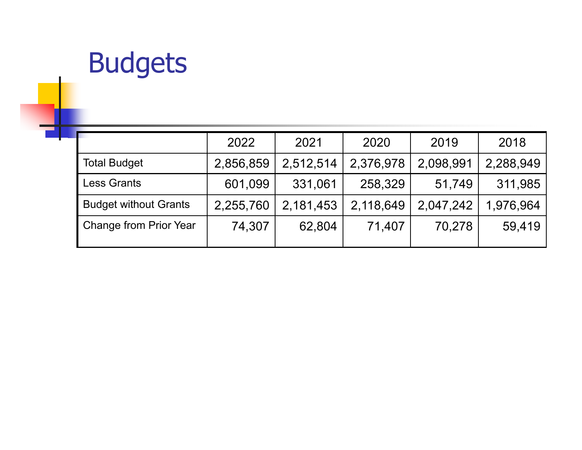## Budgets

|                               | 2022      | 2021      | 2020      | 2019      | 2018      |
|-------------------------------|-----------|-----------|-----------|-----------|-----------|
| <b>Total Budget</b>           | 2,856,859 | 2,512,514 | 2,376,978 | 2,098,991 | 2,288,949 |
| <b>Less Grants</b>            | 601,099   | 331,061   | 258,329   | 51,749    | 311,985   |
| <b>Budget without Grants</b>  | 2,255,760 | 2,181,453 | 2,118,649 | 2,047,242 | 1,976,964 |
| <b>Change from Prior Year</b> | 74,307    | 62,804    | 71,407    | 70,278    | 59,419    |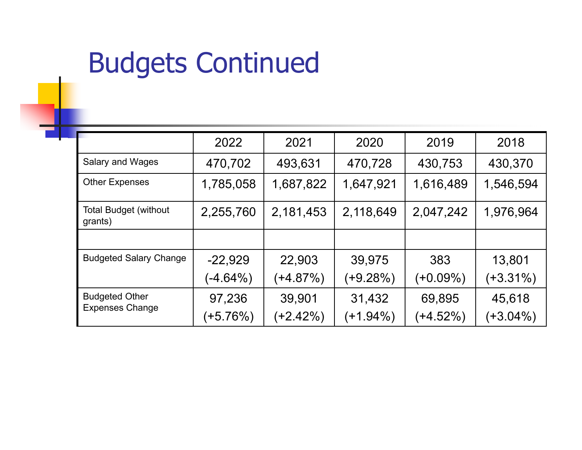### Budgets Continued

|                                         | 2022        | 2021       | 2020        | 2019       | 2018        |
|-----------------------------------------|-------------|------------|-------------|------------|-------------|
| <b>Salary and Wages</b>                 | 470,702     | 493,631    | 470,728     | 430,753    | 430,370     |
| <b>Other Expenses</b>                   | 1,785,058   | 1,687,822  | 1,647,921   | 1,616,489  | 1,546,594   |
| <b>Total Budget (without</b><br>grants) | 2,255,760   | 2,181,453  | 2,118,649   | 2,047,242  | 1,976,964   |
|                                         |             |            |             |            |             |
| <b>Budgeted Salary Change</b>           | $-22,929$   | 22,903     | 39,975      | 383        | 13,801      |
|                                         | $(-4.64\%)$ | (+4.87%)   | (+9.28%)    | (+0.09%)   | (+3.31%)    |
| <b>Budgeted Other</b>                   | 97,236      | 39,901     | 31,432      | 69,895     | 45,618      |
| <b>Expenses Change</b>                  | $(+5.76%)$  | $(+2.42%)$ | $(+1.94\%)$ | $(+4.52%)$ | $(+3.04\%)$ |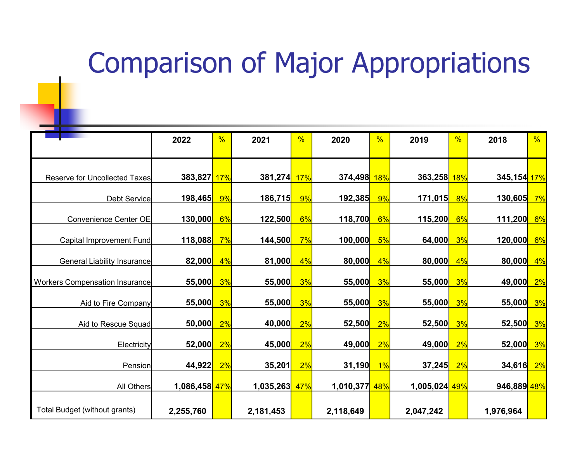#### Comparison of Major Appropriations

| <b>CONTRACTOR</b>                     | 2022                        | %          | 2021                  | $\frac{9}{6}$ | 2020                   | %  | 2019                | %   | 2018                         | %  |
|---------------------------------------|-----------------------------|------------|-----------------------|---------------|------------------------|----|---------------------|-----|------------------------------|----|
|                                       |                             |            |                       |               |                        |    |                     |     |                              |    |
|                                       |                             |            |                       |               |                        |    |                     |     |                              |    |
| <b>Reserve for Uncollected Taxes</b>  | 383,827 <mark> </mark>      | <b>17%</b> | 381,274               | <b>17%</b>    | 374,498 18%            |    | 363,258 18%         |     | 345,154 <mark>17%</mark>     |    |
|                                       |                             |            | 186,715               | 9%            |                        | 9% |                     | 8%  |                              |    |
| Debt Service                          | <mark>198,465</mark>        | 9%         |                       |               | <mark>192,385</mark>   |    | 171,015             |     | 130,605                      | 7% |
| <b>Convenience Center OE</b>          | 130,000 <mark> </mark>      | 6%         | 122,500               | 6%            | 118,700                | 6% | 115,200             | 6%  | 111,200                      | 6% |
| Capital Improvement Fund              | <mark>118,088</mark>        | 7%         | <mark>144,500</mark>  | 7%            | 100,000 <mark> </mark> | 5% | 64,000              | 3%  | <u>120,000<mark> </mark></u> | 6% |
|                                       |                             |            |                       |               |                        |    |                     |     |                              |    |
| General Liability Insurance           | 82,000                      | 4%         | 81,000                | 4%            | $\vert 80,000 \vert$   | 4% | 80,000              | 4%  | $\vert 80,000 \vert$         | 4% |
| <b>Workers Compensation Insurance</b> | 55,000                      | 3%         | 55,000                | 3%            | 55,000                 | 3% | 55,000              | 3%  | 49,000                       | 2% |
|                                       |                             |            |                       |               |                        |    |                     |     |                              |    |
| Aid to Fire Company                   | <b>55,000</b>               | 3%         | 55,000 <mark> </mark> | 3%            | 55,000                 | 3% | <u>55,000 </u>      | 3%  | <mark>55,000</mark>          | 3% |
|                                       |                             |            |                       |               |                        |    |                     |     |                              |    |
| Aid to Rescue Squad                   | 50,000                      | 2%         | 40,000                | 2%            | 52,500                 | 2% | 52,500              | 3%  | 52,500                       | 3% |
| Electricity                           | 52,000                      | 2%         | 45,000                | 2%            | 49,000                 | 2% | 49,000              | 2%  | 52,000                       | 3% |
| Pension                               | 44,922                      | 2%         | 35,201                | 2%            | <u>31,190 </u>         | 1% | <mark>37,245</mark> | 2%  | <mark>34,616</mark>          | 2% |
|                                       |                             |            |                       |               |                        |    |                     |     |                              |    |
| All Others                            | 1,086,458 <mark> 47%</mark> |            | 1,035,263             | 47%           | 1,010,377 48%          |    | 1,005,024           | 49% | 946,889 48%                  |    |
|                                       |                             |            |                       |               |                        |    |                     |     |                              |    |
| Total Budget (without grants)         | 2,255,760                   |            | 2,181,453             |               | 2,118,649              |    | 2,047,242           |     | 1,976,964                    |    |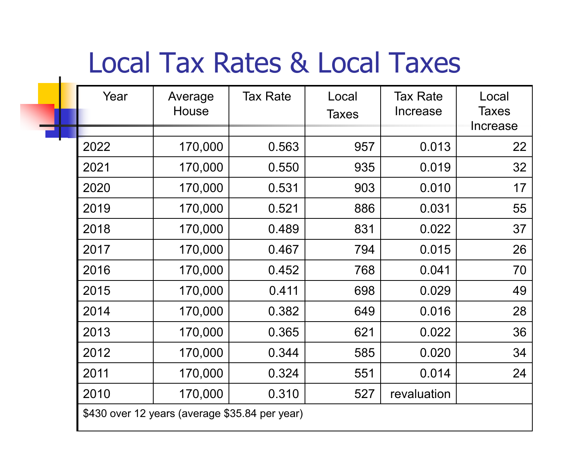### Local Tax Rates & Local Taxes

| Year | Average<br>House                               | <b>Tax Rate</b> | Local<br>Taxes | <b>Tax Rate</b><br>Increase | Local<br><b>Taxes</b><br>Increase |
|------|------------------------------------------------|-----------------|----------------|-----------------------------|-----------------------------------|
| 2022 | 170,000                                        | 0.563           | 957            | 0.013                       | 22                                |
| 2021 | 170,000                                        | 0.550           | 935            | 0.019                       | 32                                |
| 2020 | 170,000                                        | 0.531           | 903            | 0.010                       | 17                                |
| 2019 | 170,000                                        | 0.521           | 886            | 0.031                       | 55                                |
| 2018 | 170,000                                        | 0.489           | 831            | 0.022                       | 37                                |
| 2017 | 170,000                                        | 0.467           | 794            | 0.015                       | 26                                |
| 2016 | 170,000                                        | 0.452           | 768            | 0.041                       | 70                                |
| 2015 | 170,000                                        | 0.411           | 698            | 0.029                       | 49                                |
| 2014 | 170,000                                        | 0.382           | 649            | 0.016                       | 28                                |
| 2013 | 170,000                                        | 0.365           | 621            | 0.022                       | 36                                |
| 2012 | 170,000                                        | 0.344           | 585            | 0.020                       | 34                                |
| 2011 | 170,000                                        | 0.324           | 551            | 0.014                       | 24                                |
| 2010 | 170,000                                        | 0.310           | 527            | revaluation                 |                                   |
|      | \$430 over 12 years (average \$35.84 per year) |                 |                |                             |                                   |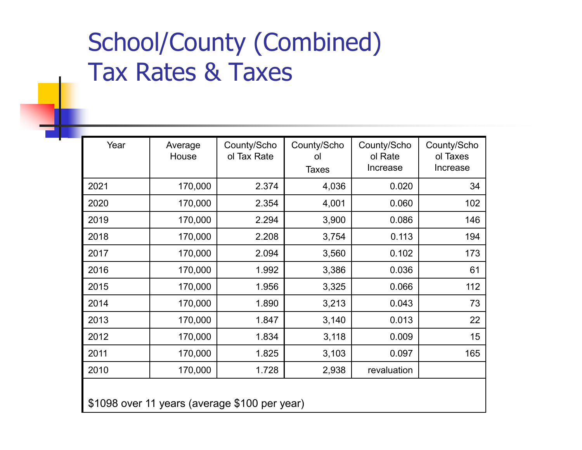#### School/County (Combined) Tax Rates & Taxes

| Year                                          | Average<br>House | County/Scho<br>ol Tax Rate | County/Scho<br>ol<br><b>Taxes</b> | County/Scho<br>ol Rate<br>Increase | County/Scho<br>ol Taxes<br>Increase |  |  |
|-----------------------------------------------|------------------|----------------------------|-----------------------------------|------------------------------------|-------------------------------------|--|--|
| 2021                                          | 170,000          | 2.374                      | 4,036                             | 0.020                              | 34                                  |  |  |
| 2020                                          | 170,000          | 2.354                      | 4,001                             | 0.060                              | 102                                 |  |  |
| 2019                                          | 170,000          | 2.294                      | 3,900                             | 0.086                              | 146                                 |  |  |
| 2018                                          | 170,000          | 2.208                      | 3,754                             | 0.113                              | 194                                 |  |  |
| 2017                                          | 170,000          | 2.094                      | 3,560                             | 0.102                              | 173                                 |  |  |
| 2016                                          | 170,000          | 1.992                      | 3,386                             | 0.036                              | 61                                  |  |  |
| 2015                                          | 170,000          | 1.956                      | 3,325                             | 0.066                              | 112                                 |  |  |
| 2014                                          | 170,000          | 1.890                      | 3,213                             | 0.043                              | 73                                  |  |  |
| 2013                                          | 170,000          | 1.847                      | 3,140                             | 0.013                              | 22                                  |  |  |
| 2012                                          | 170,000          | 1.834                      | 3,118                             | 0.009                              | 15                                  |  |  |
| 2011                                          | 170,000          | 1.825                      | 3,103                             | 0.097                              | 165                                 |  |  |
| 2010                                          | 170,000          | 1.728                      | 2,938                             | revaluation                        |                                     |  |  |
| \$1098 over 11 years (average \$100 per year) |                  |                            |                                   |                                    |                                     |  |  |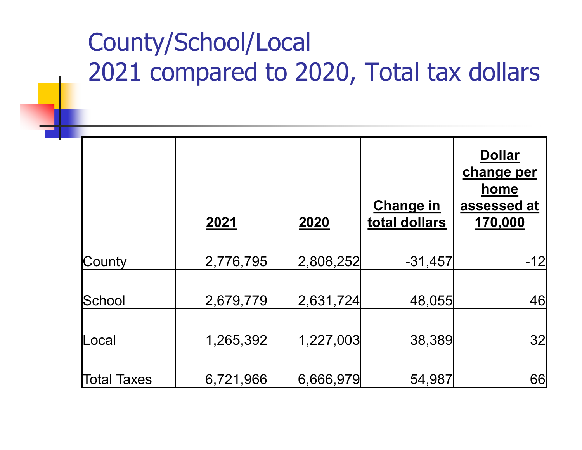#### County/School/Local 2021 compared to 2020, Total tax dollars

|             | 2021      | 2020      | <b>Change in</b><br>total dollars | <b>Dollar</b><br>change per<br>home<br>assessed at<br>170,000 |
|-------------|-----------|-----------|-----------------------------------|---------------------------------------------------------------|
| County      | 2,776,795 | 2,808,252 | $-31,457$                         | -12                                                           |
|             |           |           |                                   |                                                               |
| School      | 2,679,779 | 2,631,724 | 48,055                            | 46                                                            |
| _ocal       | 1,265,392 | 1,227,003 | 38,389                            | 32                                                            |
|             |           |           |                                   |                                                               |
| Total Taxes | 6,721,966 | 6,666,979 | 54,987                            | 66                                                            |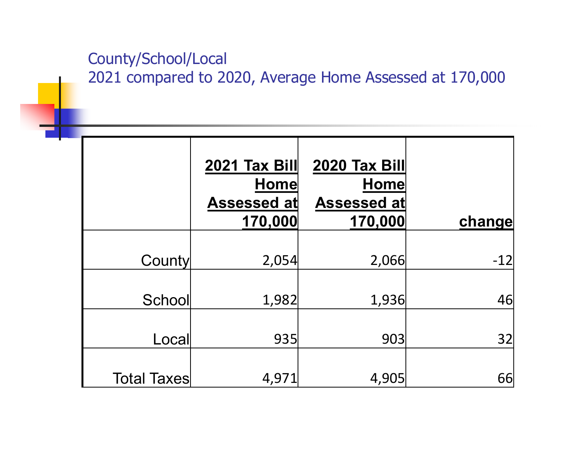#### County/School/Local

2021 compared to 2020, Average Home Assessed at 170,000

|                    | 2021 Tax Bill<br><b>Home</b><br><b>Assessed at</b><br>170,000 | 2020 Tax Bill<br><b>Home</b><br><b>Assessed at</b><br>170,000 | change |
|--------------------|---------------------------------------------------------------|---------------------------------------------------------------|--------|
| <b>County</b>      | 2,054                                                         | 2,066                                                         | $-12$  |
| School             | 1,982                                                         | 1,936                                                         | 46     |
| Local              | 935                                                           | 903                                                           | 32     |
| <b>Total Taxes</b> | 4,971                                                         | 4,905                                                         | 66     |